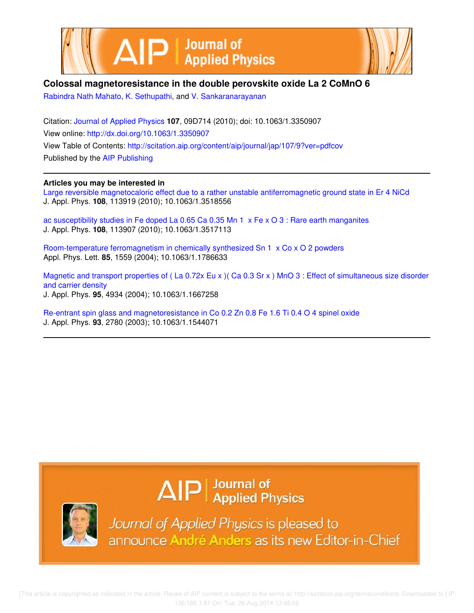



# **Colossal magnetoresistance in the double perovskite oxide La 2 CoMnO 6**

Rabindra Nath Mahato, K. Sethupathi, and V. Sankaranarayanan

Citation: Journal of Applied Physics **107**, 09D714 (2010); doi: 10.1063/1.3350907 View online: http://dx.doi.org/10.1063/1.3350907 View Table of Contents: http://scitation.aip.org/content/aip/journal/jap/107/9?ver=pdfcov Published by the AIP Publishing

# **Articles you may be interested in**

Large reversible magnetocaloric effect due to a rather unstable antiferromagnetic ground state in Er 4 NiCd J. Appl. Phys. **108**, 113919 (2010); 10.1063/1.3518556

ac susceptibility studies in Fe doped La 0.65 Ca 0.35 Mn 1 x Fe x O 3 : Rare earth manganites J. Appl. Phys. **108**, 113907 (2010); 10.1063/1.3517113

Room-temperature ferromagnetism in chemically synthesized Sn 1 x Co x O 2 powders Appl. Phys. Lett. **85**, 1559 (2004); 10.1063/1.1786633

Magnetic and transport properties of (La 0.72x Eu x) (Ca 0.3 Sr x) MnO 3 : Effect of simultaneous size disorder and carrier density J. Appl. Phys. **95**, 4934 (2004); 10.1063/1.1667258

Re-entrant spin glass and magnetoresistance in Co 0.2 Zn 0.8 Fe 1.6 Ti 0.4 O 4 spinel oxide J. Appl. Phys. **93**, 2780 (2003); 10.1063/1.1544071

# $\Delta$   $\vert P \vert$  Journal of Applied Physics



Journal of Applied Physics is pleased to announce André Anders as its new Editor-in-Chief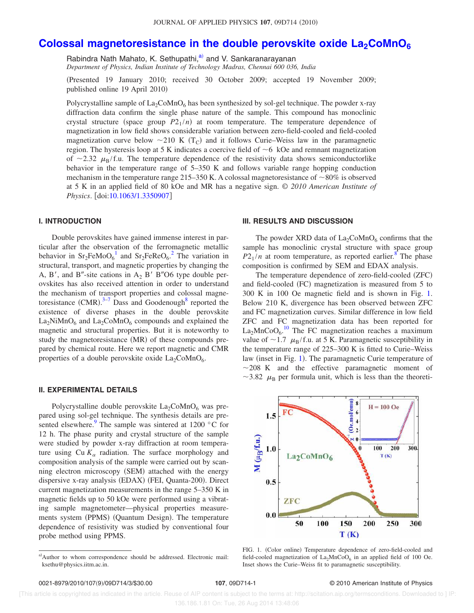# **Colossal magnetoresistance in the double perovskite oxide La<sub>2</sub>CoMnO**<sup>6</sup>

Rabindra Nath Mahato, K. Sethupathi, a) and V. Sankaranarayanan

*Department of Physics, Indian Institute of Technology Madras, Chennai 600 036, India*

Presented 19 January 2010; received 30 October 2009; accepted 19 November 2009; published online 19 April 2010)

Polycrystalline sample of  $La_2CoMnO_6$  has been synthesized by sol-gel technique. The powder x-ray diffraction data confirm the single phase nature of the sample. This compound has monoclinic crystal structure (space group  $P2_1/n$ ) at room temperature. The temperature dependence of magnetization in low field shows considerable variation between zero-field-cooled and field-cooled magnetization curve below  $\sim$ 210 K (T<sub>C</sub>) and it follows Curie–Weiss law in the paramagnetic region. The hysteresis loop at 5 K indicates a coercive field of  $\sim$  6 kOe and remnant magnetization of  $\sim$ 2.32  $\mu_{\rm B}/f.u.$  The temperature dependence of the resistivity data shows semiconductorlike behavior in the temperature range of 5–350 K and follows variable range hopping conduction mechanism in the temperature range 215–350 K. A colossal magnetoresistance of  $\sim$ 80% is observed at 5 K in an applied field of 80 kOe and MR has a negative sign. © *2010 American Institute of Physics.* [doi:10.1063/1.3350907]

## **I. INTRODUCTION**

Double perovskites have gained immense interest in particular after the observation of the ferromagnetic metallic behavior in  $Sr_2FeMoO<sub>6</sub><sup>1</sup>$  and  $Sr_2FeReO<sub>6</sub><sup>2</sup>$ . The variation in structural, transport, and magnetic properties by changing the A, B', and B"-site cations in  $A_2$  B' B"O6 type double perovskites has also received attention in order to understand the mechanism of transport properties and colossal magnetoresistance  $(CMR)$ .<sup>3-7</sup> Dass and Goodenough<sup>8</sup> reported the existence of diverse phases in the double perovskite  $La<sub>2</sub>NiMnO<sub>6</sub>$  and  $La<sub>2</sub>CoMnO<sub>6</sub>$  compounds and explained the magnetic and structural properties. But it is noteworthy to study the magnetoresistance (MR) of these compounds prepared by chemical route. Here we report magnetic and CMR properties of a double perovskite oxide  $La_2CoMnO_6$ .

#### **II. EXPERIMENTAL DETAILS**

Polycrystalline double perovskite  $La_2CoMnO_6$  was prepared using sol-gel technique. The synthesis details are presented elsewhere.<sup>9</sup> The sample was sintered at 1200  $\degree$ C for 12 h. The phase purity and crystal structure of the sample were studied by powder x-ray diffraction at room temperature using  $Cu K_{\alpha}$  radiation. The surface morphology and composition analysis of the sample were carried out by scanning electron microscopy (SEM) attached with the energy dispersive x-ray analysis (EDAX) (FEI, Quanta-200). Direct current magnetization measurements in the range 5–350 K in magnetic fields up to 50 kOe were performed using a vibrating sample magnetometer—physical properties measurements system (PPMS) (Quantum Design). The temperature dependence of resistivity was studied by conventional four probe method using PPMS.

## **III. RESULTS AND DISCUSSION**

The powder XRD data of  $La_2CoMnO_6$  confirms that the sample has monoclinic crystal structure with space group  $P2_1/n$  at room temperature, as reported earlier.<sup>8</sup> The phase composition is confirmed by SEM and EDAX analysis.

The temperature dependence of zero-field-cooled (ZFC) and field-cooled (FC) magnetization is measured from 5 to 300 K in 100 Oe magnetic field and is shown in Fig. 1. Below 210 K, divergence has been observed between ZFC and FC magnetization curves. Similar difference in low field ZFC and FC magnetization data has been reported for  $\text{La}_2\text{MnCoO}_6$ .<sup>10</sup> The FC magnetization reaches a maximum value of  $\sim$ 1.7  $\mu_B$ /f.u. at 5 K. Paramagnetic susceptibility in the temperature range of 225–300 K is fitted to Curie–Weiss law (inset in Fig. 1). The paramagnetic Curie temperature of  $\sim$ 208 K and the effective paramagnetic moment of ~3.82  $\mu_{\rm B}$  per formula unit, which is less than the theoreti-



FIG. 1. (Color online) Temperature dependence of zero-field-cooled and field-cooled magnetization of  $La<sub>2</sub>MnCoO<sub>6</sub>$  in an applied field of 100 Oe. Inset shows the Curie–Weiss fit to paramagnetic susceptibility.

 [This article is copyrighted as indicated in the article. Reuse of AIP content is subject to the terms at: http://scitation.aip.org/termsconditions. Downloaded to ] IP: 136.186.1.81 On: Tue, 26 Aug 2014 13:48:06

a)Author to whom correspondence should be addressed. Electronic mail: ksethu@physics.iitm.ac.in.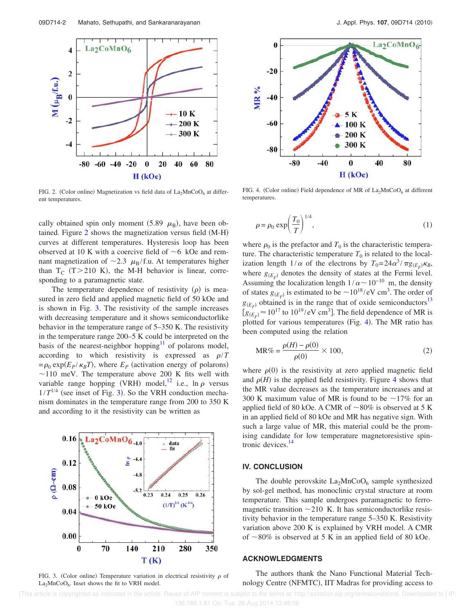

FIG. 2. (Color online) Magnetization vs field data of  $La_2MnCoO_6$  at different temperatures.

cally obtained spin only moment  $(5.89 \mu_B)$ , have been obtained. Figure 2 shows the magnetization versus field (M-H) curves at different temperatures. Hysteresis loop has been observed at 10 K with a coercive field of  $\sim$  6 kOe and remnant magnetization of  $\sim$ 2.3  $\mu_B$ /f.u. At temperatures higher than  $T_C$  (T > 210 K), the M-H behavior is linear, corresponding to a paramagnetic state.

The temperature dependence of resistivity  $(\rho)$  is measured in zero field and applied magnetic field of 50 kOe and is shown in Fig. 3. The resistivity of the sample increases with decreasing temperature and it shows semiconductorlike behavior in the temperature range of 5–350 K. The resistivity in the temperature range 200–5 K could be interpreted on the basis of the nearest-neighbor hopping<sup>11</sup> of polarons model, according to which resistivity is expressed as  $\rho/T$  $= \rho_0 \exp(E_P/\kappa_B T)$ , where  $E_P$  (activation energy of polarons)  $\sim$ 110 meV. The temperature above 200 K fits well with variable range hopping (VRH) model,<sup>12</sup> i.e., ln  $\rho$  versus  $1/T^{1/4}$  (see inset of Fig. 3). So the VRH conduction mechanism dominates in the temperature range from 200 to 350 K and according to it the resistivity can be written as



FIG. 3. (Color online) Temperature variation in electrical resistivity  $\rho$  of  $La<sub>2</sub>MnCoO<sub>6</sub>$ . Inset shows the fit to VRH model.



FIG. 4. (Color online) Field dependence of MR of  $La_2MnCoO_6$  at different temperatures.

$$
\rho = \rho_0 \exp\left(\frac{T_0}{T}\right)^{1/4},\tag{1}
$$

where  $\rho_0$  is the prefactor and  $T_0$  is the characteristic temperature. The characteristic temperature  $T_0$  is related to the localization length  $1/\alpha$  of the electrons by  $T_0 = 24\alpha^3/\pi g_{(E_F)}\kappa_B$ , where  $g_{(E_F)}$  denotes the density of states at the Fermi level. Assuming the localization length  $1/\alpha \sim 10^{-10}$  m, the density of states  $g_{(E_F)}$  is estimated to be  $\sim 10^{18} / \text{eV cm}^3$ . The order of  $g_{(E_F)}$  obtained is in the range that of oxide semiconductors<sup>13</sup>  $[g(E_F) \approx 10^{17}$  to  $10^{19}$ /eV cm<sup>3</sup>]. The field dependence of MR is plotted for various temperatures (Fig. 4). The MR ratio has been computed using the relation

$$
MR\% = \frac{\rho(H) - \rho(0)}{\rho(0)} \times 100,\tag{2}
$$

where  $\rho(0)$  is the resistivity at zero applied magnetic field and  $\rho$ (*H*) is the applied field resistivity. Figure 4 shows that the MR value decreases as the temperature increases and at 300 K maximum value of MR is found to be  $\sim$ 17% for an applied field of 80 kOe. A CMR of  $\sim$ 80% is observed at 5 K in an applied field of 80 kOe and MR has negative sign. With such a large value of MR, this material could be the promising candidate for low temperature magnetoresistive spintronic devices.<sup>14</sup>

#### **IV. CONCLUSION**

The double perovskite  $La_2MnCoO_6$  sample synthesized by sol-gel method, has monoclinic crystal structure at room temperature. This sample undergoes paramagnetic to ferromagnetic transition  $\sim$  210 K. It has semiconductorlike resistivity behavior in the temperature range 5–350 K. Resistivity variation above 200 K is explained by VRH model. A CMR of  $\sim$ 80% is observed at 5 K in an applied field of 80 kOe.

### **ACKNOWLEDGMENTS**

The authors thank the Nano Functional Material Technology Centre (NFMTC), IIT Madras for providing access to

 [This article is copyrighted as indicated in the article. Reuse of AIP content is subject to the terms at: http://scitation.aip.org/termsconditions. Downloaded to ] IP: 136.186.1.81 On: Tue, 26 Aug 2014 13:48:06